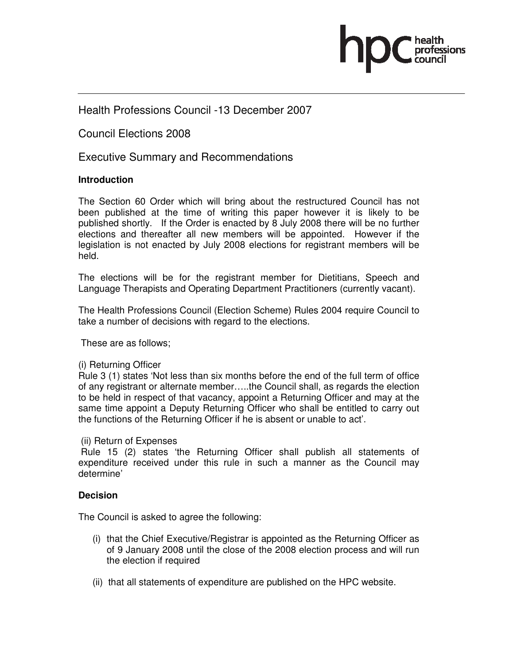

# Health Professions Council -13 December 2007

Council Elections 2008

Executive Summary and Recommendations

## **Introduction**

The Section 60 Order which will bring about the restructured Council has not been published at the time of writing this paper however it is likely to be published shortly. If the Order is enacted by 8 July 2008 there will be no further elections and thereafter all new members will be appointed. However if the legislation is not enacted by July 2008 elections for registrant members will be held.

The elections will be for the registrant member for Dietitians, Speech and Language Therapists and Operating Department Practitioners (currently vacant).

The Health Professions Council (Election Scheme) Rules 2004 require Council to take a number of decisions with regard to the elections.

These are as follows;

## (i) Returning Officer

Rule 3 (1) states 'Not less than six months before the end of the full term of office of any registrant or alternate member…..the Council shall, as regards the election to be held in respect of that vacancy, appoint a Returning Officer and may at the same time appoint a Deputy Returning Officer who shall be entitled to carry out the functions of the Returning Officer if he is absent or unable to act'.

#### (ii) Return of Expenses

 Rule 15 (2) states 'the Returning Officer shall publish all statements of expenditure received under this rule in such a manner as the Council may determine'

## **Decision**

The Council is asked to agree the following:

- (i) that the Chief Executive/Registrar is appointed as the Returning Officer as of 9 January 2008 until the close of the 2008 election process and will run the election if required
- (ii) that all statements of expenditure are published on the HPC website.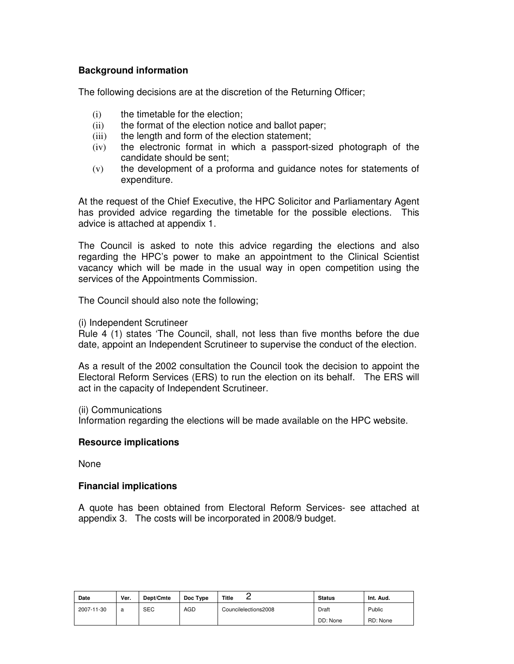## **Background information**

The following decisions are at the discretion of the Returning Officer;

- (i) the timetable for the election;
- (ii) the format of the election notice and ballot paper;
- (iii) the length and form of the election statement;
- (iv) the electronic format in which a passport-sized photograph of the candidate should be sent;
- (v) the development of a proforma and guidance notes for statements of expenditure.

At the request of the Chief Executive, the HPC Solicitor and Parliamentary Agent has provided advice regarding the timetable for the possible elections. This advice is attached at appendix 1.

The Council is asked to note this advice regarding the elections and also regarding the HPC's power to make an appointment to the Clinical Scientist vacancy which will be made in the usual way in open competition using the services of the Appointments Commission.

The Council should also note the following;

(i) Independent Scrutineer

Rule 4 (1) states 'The Council, shall, not less than five months before the due date, appoint an Independent Scrutineer to supervise the conduct of the election.

As a result of the 2002 consultation the Council took the decision to appoint the Electoral Reform Services (ERS) to run the election on its behalf. The ERS will act in the capacity of Independent Scrutineer.

(ii) Communications

Information regarding the elections will be made available on the HPC website.

#### **Resource implications**

None

#### **Financial implications**

A quote has been obtained from Electoral Reform Services- see attached at appendix 3. The costs will be incorporated in 2008/9 budget.

| Date       | Ver. | Dept/Cmte  | Doc Type   | Title<br>-           | <b>Status</b> | Int. Aud. |
|------------|------|------------|------------|----------------------|---------------|-----------|
| 2007-11-30 | a    | <b>SEC</b> | <b>AGD</b> | Councilelections2008 | Draft         | Public    |
|            |      |            |            |                      | DD: None      | RD: None  |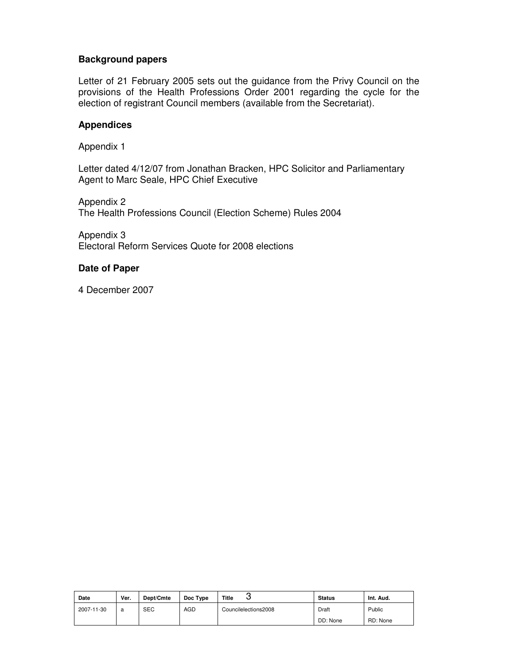## **Background papers**

Letter of 21 February 2005 sets out the guidance from the Privy Council on the provisions of the Health Professions Order 2001 regarding the cycle for the election of registrant Council members (available from the Secretariat).

## **Appendices**

Appendix 1

Letter dated 4/12/07 from Jonathan Bracken, HPC Solicitor and Parliamentary Agent to Marc Seale, HPC Chief Executive

Appendix 2 The Health Professions Council (Election Scheme) Rules 2004

Appendix 3 Electoral Reform Services Quote for 2008 elections

## **Date of Paper**

4 December 2007

| Date       | Ver. | Dept/Cmte  | Doc Type   | Title<br>ີ           | <b>Status</b> | Int. Aud. |
|------------|------|------------|------------|----------------------|---------------|-----------|
| 2007-11-30 | a    | <b>SEC</b> | <b>AGD</b> | Councilelections2008 | Draft         | Public    |
|            |      |            |            |                      | DD: None      | RD: None  |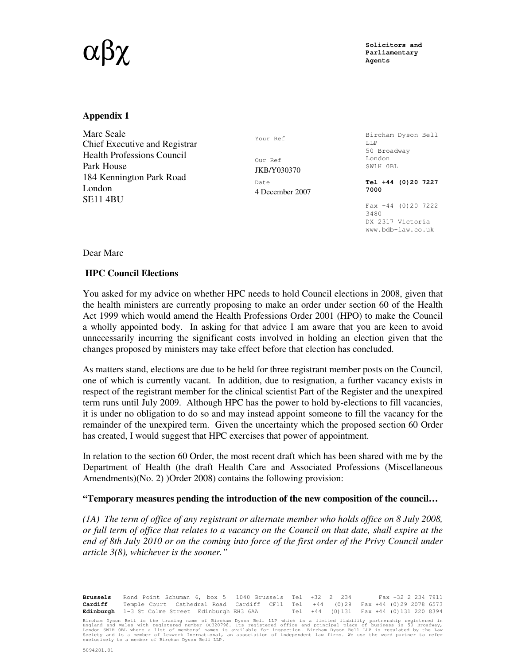# $\alpha \beta \chi$  solicitors and  $\sum_{\text{Parliamentary}}$

**Parliamentary Agents** 

#### **Appendix 1**

Marc Seale Chief Executive and Registrar Health Professions Council Park House 184 Kennington Park Road London SE11 4BU

Your Ref

Our Ref JKB/Y030370 Date 4 December 2007

Bircham Dyson Bell LLP 50 Broadway London SW1H 0BL

**Tel +44 (0)20 7227 7000** 

Fax +44 (0)20 7222 3480 DX 2317 Victoria www.bdb-law.co.uk

Dear Marc

#### **HPC Council Elections**

You asked for my advice on whether HPC needs to hold Council elections in 2008, given that the health ministers are currently proposing to make an order under section 60 of the Health Act 1999 which would amend the Health Professions Order 2001 (HPO) to make the Council a wholly appointed body. In asking for that advice I am aware that you are keen to avoid unnecessarily incurring the significant costs involved in holding an election given that the changes proposed by ministers may take effect before that election has concluded.

As matters stand, elections are due to be held for three registrant member posts on the Council, one of which is currently vacant. In addition, due to resignation, a further vacancy exists in respect of the registrant member for the clinical scientist Part of the Register and the unexpired term runs until July 2009. Although HPC has the power to hold by-elections to fill vacancies, it is under no obligation to do so and may instead appoint someone to fill the vacancy for the remainder of the unexpired term. Given the uncertainty which the proposed section 60 Order has created, I would suggest that HPC exercises that power of appointment.

In relation to the section 60 Order, the most recent draft which has been shared with me by the Department of Health (the draft Health Care and Associated Professions (Miscellaneous Amendments)(No. 2) )Order 2008) contains the following provision:

#### **"Temporary measures pending the introduction of the new composition of the council…**

*(1A) The term of office of any registrant or alternate member who holds office on 8 July 2008, or full term of office that relates to a vacancy on the Council on that date, shall expire at the end of 8th July 2010 or on the coming into force of the first order of the Privy Council under article 3(8), whichever is the sooner."* 

**Brussels** Rond Point Schuman 6, box 5 1040 Brussels Tel +32 2 234 Fax +32 2 234 7911 **Cardiff** Temple Court Cathedral Road Cardiff CF11 Tel +44 (0)29 Fax +44 (0)29 2078 6573 **Edinburgh** 1-3 St Colme Street Edinburgh EH3 6AA Tel +44 (0)131 Fax +44 (0)131 220 8394

Bircham Dyson Bell is the trading name of Bircham Dyson Bell LLP which is a limited liability partnership registered in<br>England and Wales with registered number OC320798. Its registered office and principal place of busine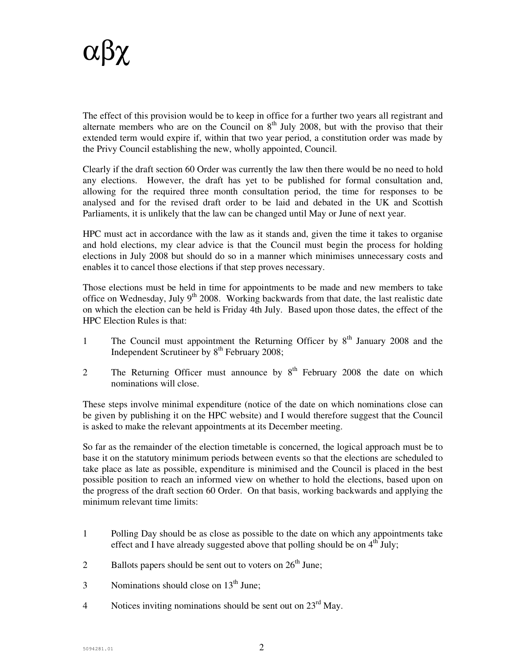

The effect of this provision would be to keep in office for a further two years all registrant and alternate members who are on the Council on  $8<sup>th</sup>$  July 2008, but with the proviso that their extended term would expire if, within that two year period, a constitution order was made by the Privy Council establishing the new, wholly appointed, Council.

Clearly if the draft section 60 Order was currently the law then there would be no need to hold any elections. However, the draft has yet to be published for formal consultation and, allowing for the required three month consultation period, the time for responses to be analysed and for the revised draft order to be laid and debated in the UK and Scottish Parliaments, it is unlikely that the law can be changed until May or June of next year.

HPC must act in accordance with the law as it stands and, given the time it takes to organise and hold elections, my clear advice is that the Council must begin the process for holding elections in July 2008 but should do so in a manner which minimises unnecessary costs and enables it to cancel those elections if that step proves necessary.

Those elections must be held in time for appointments to be made and new members to take office on Wednesday, July  $9<sup>th</sup>$  2008. Working backwards from that date, the last realistic date on which the election can be held is Friday 4th July. Based upon those dates, the effect of the HPC Election Rules is that:

- 1 The Council must appointment the Returning Officer by 8<sup>th</sup> January 2008 and the Independent Scrutineer by  $8^{th}$  February 2008;
- 2 The Returning Officer must announce by 8<sup>th</sup> February 2008 the date on which nominations will close.

These steps involve minimal expenditure (notice of the date on which nominations close can be given by publishing it on the HPC website) and I would therefore suggest that the Council is asked to make the relevant appointments at its December meeting.

So far as the remainder of the election timetable is concerned, the logical approach must be to base it on the statutory minimum periods between events so that the elections are scheduled to take place as late as possible, expenditure is minimised and the Council is placed in the best possible position to reach an informed view on whether to hold the elections, based upon on the progress of the draft section 60 Order. On that basis, working backwards and applying the minimum relevant time limits:

- 1 Polling Day should be as close as possible to the date on which any appointments take effect and I have already suggested above that polling should be on  $4<sup>th</sup>$  July;
- 2 Ballots papers should be sent out to voters on  $26<sup>th</sup>$  June;
- 3 Nominations should close on  $13<sup>th</sup>$  June;
- 4 Notices inviting nominations should be sent out on  $23^{\text{rd}}$  May.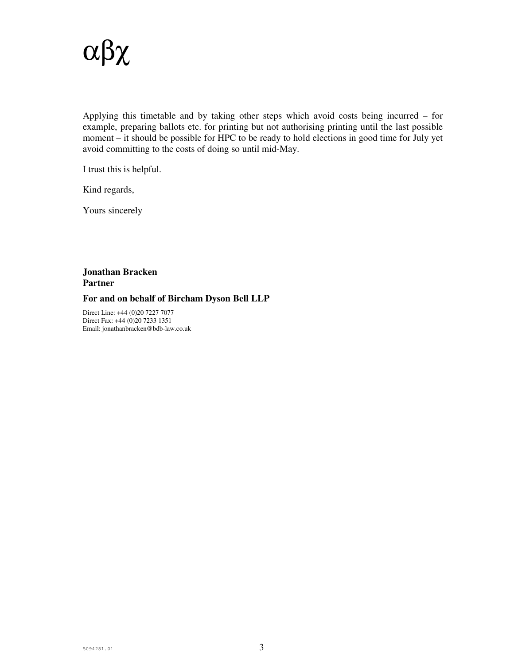

Applying this timetable and by taking other steps which avoid costs being incurred – for example, preparing ballots etc. for printing but not authorising printing until the last possible moment – it should be possible for HPC to be ready to hold elections in good time for July yet avoid committing to the costs of doing so until mid-May.

I trust this is helpful.

Kind regards,

Yours sincerely

## **Jonathan Bracken Partner**

#### **For and on behalf of Bircham Dyson Bell LLP**

Direct Line: +44 (0)20 7227 7077 Direct Fax: +44 (0)20 7233 1351 Email: jonathanbracken@bdb-law.co.uk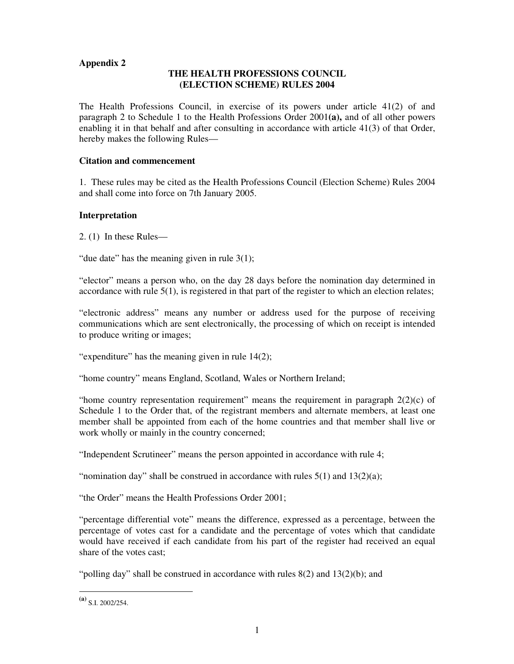## **Appendix 2**

## **THE HEALTH PROFESSIONS COUNCIL (ELECTION SCHEME) RULES 2004**

The Health Professions Council, in exercise of its powers under article 41(2) of and paragraph 2 to Schedule 1 to the Health Professions Order 2001**(a),** and of all other powers enabling it in that behalf and after consulting in accordance with article 41(3) of that Order, hereby makes the following Rules—

#### **Citation and commencement**

1. These rules may be cited as the Health Professions Council (Election Scheme) Rules 2004 and shall come into force on 7th January 2005.

#### **Interpretation**

2. (1) In these Rules—

"due date" has the meaning given in rule  $3(1)$ ;

"elector" means a person who, on the day 28 days before the nomination day determined in accordance with rule  $5(1)$ , is registered in that part of the register to which an election relates;

"electronic address" means any number or address used for the purpose of receiving communications which are sent electronically, the processing of which on receipt is intended to produce writing or images;

"expenditure" has the meaning given in rule  $14(2)$ ;

"home country" means England, Scotland, Wales or Northern Ireland;

"home country representation requirement" means the requirement in paragraph  $2(2)(c)$  of Schedule 1 to the Order that, of the registrant members and alternate members, at least one member shall be appointed from each of the home countries and that member shall live or work wholly or mainly in the country concerned;

"Independent Scrutineer" means the person appointed in accordance with rule 4;

"nomination day" shall be construed in accordance with rules  $5(1)$  and  $13(2)(a)$ ;

"the Order" means the Health Professions Order 2001;

"percentage differential vote" means the difference, expressed as a percentage, between the percentage of votes cast for a candidate and the percentage of votes which that candidate would have received if each candidate from his part of the register had received an equal share of the votes cast;

"polling day" shall be construed in accordance with rules  $8(2)$  and  $13(2)(b)$ ; and

 $\overline{a}$ 

 $(a)$  S.I. 2002/254.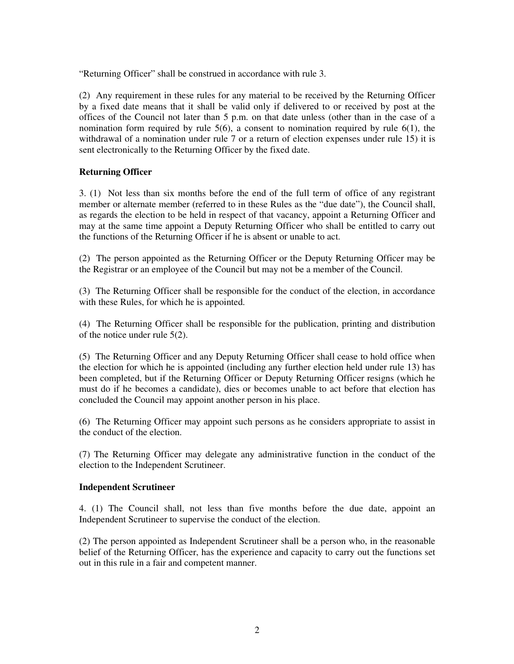"Returning Officer" shall be construed in accordance with rule 3.

(2) Any requirement in these rules for any material to be received by the Returning Officer by a fixed date means that it shall be valid only if delivered to or received by post at the offices of the Council not later than 5 p.m. on that date unless (other than in the case of a nomination form required by rule  $5(6)$ , a consent to nomination required by rule  $6(1)$ , the withdrawal of a nomination under rule 7 or a return of election expenses under rule 15) it is sent electronically to the Returning Officer by the fixed date.

## **Returning Officer**

3. (1) Not less than six months before the end of the full term of office of any registrant member or alternate member (referred to in these Rules as the "due date"), the Council shall, as regards the election to be held in respect of that vacancy, appoint a Returning Officer and may at the same time appoint a Deputy Returning Officer who shall be entitled to carry out the functions of the Returning Officer if he is absent or unable to act.

(2) The person appointed as the Returning Officer or the Deputy Returning Officer may be the Registrar or an employee of the Council but may not be a member of the Council.

(3) The Returning Officer shall be responsible for the conduct of the election, in accordance with these Rules, for which he is appointed.

(4) The Returning Officer shall be responsible for the publication, printing and distribution of the notice under rule 5(2).

(5) The Returning Officer and any Deputy Returning Officer shall cease to hold office when the election for which he is appointed (including any further election held under rule 13) has been completed, but if the Returning Officer or Deputy Returning Officer resigns (which he must do if he becomes a candidate), dies or becomes unable to act before that election has concluded the Council may appoint another person in his place.

(6) The Returning Officer may appoint such persons as he considers appropriate to assist in the conduct of the election.

(7) The Returning Officer may delegate any administrative function in the conduct of the election to the Independent Scrutineer.

#### **Independent Scrutineer**

4. (1) The Council shall, not less than five months before the due date, appoint an Independent Scrutineer to supervise the conduct of the election.

(2) The person appointed as Independent Scrutineer shall be a person who, in the reasonable belief of the Returning Officer, has the experience and capacity to carry out the functions set out in this rule in a fair and competent manner.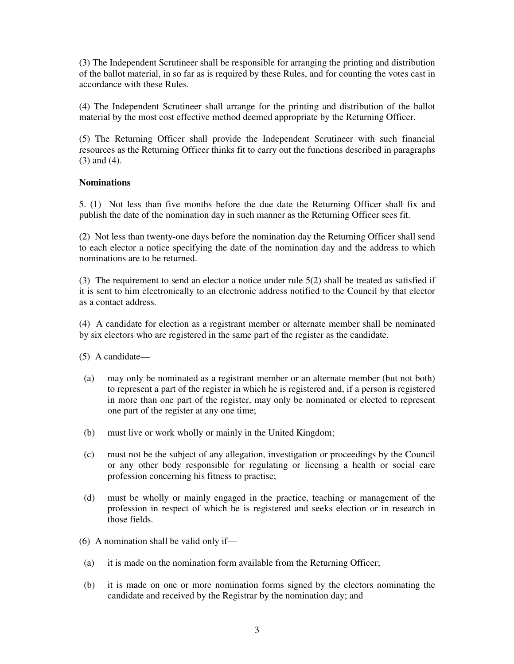(3) The Independent Scrutineer shall be responsible for arranging the printing and distribution of the ballot material, in so far as is required by these Rules, and for counting the votes cast in accordance with these Rules.

(4) The Independent Scrutineer shall arrange for the printing and distribution of the ballot material by the most cost effective method deemed appropriate by the Returning Officer.

(5) The Returning Officer shall provide the Independent Scrutineer with such financial resources as the Returning Officer thinks fit to carry out the functions described in paragraphs (3) and (4).

#### **Nominations**

5. (1) Not less than five months before the due date the Returning Officer shall fix and publish the date of the nomination day in such manner as the Returning Officer sees fit.

(2) Not less than twenty-one days before the nomination day the Returning Officer shall send to each elector a notice specifying the date of the nomination day and the address to which nominations are to be returned.

(3) The requirement to send an elector a notice under rule 5(2) shall be treated as satisfied if it is sent to him electronically to an electronic address notified to the Council by that elector as a contact address.

(4) A candidate for election as a registrant member or alternate member shall be nominated by six electors who are registered in the same part of the register as the candidate.

(5) A candidate—

- (a) may only be nominated as a registrant member or an alternate member (but not both) to represent a part of the register in which he is registered and, if a person is registered in more than one part of the register, may only be nominated or elected to represent one part of the register at any one time;
- (b) must live or work wholly or mainly in the United Kingdom;
- (c) must not be the subject of any allegation, investigation or proceedings by the Council or any other body responsible for regulating or licensing a health or social care profession concerning his fitness to practise;
- (d) must be wholly or mainly engaged in the practice, teaching or management of the profession in respect of which he is registered and seeks election or in research in those fields.
- (6) A nomination shall be valid only if—
- (a) it is made on the nomination form available from the Returning Officer;
- (b) it is made on one or more nomination forms signed by the electors nominating the candidate and received by the Registrar by the nomination day; and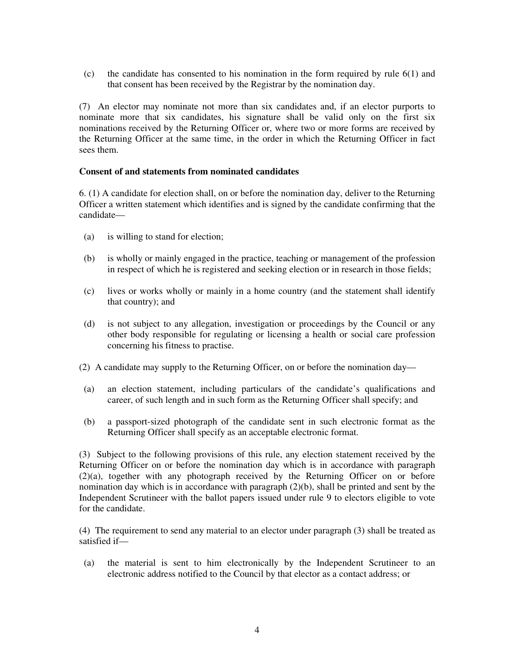(c) the candidate has consented to his nomination in the form required by rule 6(1) and that consent has been received by the Registrar by the nomination day.

(7) An elector may nominate not more than six candidates and, if an elector purports to nominate more that six candidates, his signature shall be valid only on the first six nominations received by the Returning Officer or, where two or more forms are received by the Returning Officer at the same time, in the order in which the Returning Officer in fact sees them.

#### **Consent of and statements from nominated candidates**

6. (1) A candidate for election shall, on or before the nomination day, deliver to the Returning Officer a written statement which identifies and is signed by the candidate confirming that the candidate—

- (a) is willing to stand for election;
- (b) is wholly or mainly engaged in the practice, teaching or management of the profession in respect of which he is registered and seeking election or in research in those fields;
- (c) lives or works wholly or mainly in a home country (and the statement shall identify that country); and
- (d) is not subject to any allegation, investigation or proceedings by the Council or any other body responsible for regulating or licensing a health or social care profession concerning his fitness to practise.
- (2) A candidate may supply to the Returning Officer, on or before the nomination day—
- (a) an election statement, including particulars of the candidate's qualifications and career, of such length and in such form as the Returning Officer shall specify; and
- (b) a passport-sized photograph of the candidate sent in such electronic format as the Returning Officer shall specify as an acceptable electronic format.

(3) Subject to the following provisions of this rule, any election statement received by the Returning Officer on or before the nomination day which is in accordance with paragraph (2)(a), together with any photograph received by the Returning Officer on or before nomination day which is in accordance with paragraph (2)(b), shall be printed and sent by the Independent Scrutineer with the ballot papers issued under rule 9 to electors eligible to vote for the candidate.

(4) The requirement to send any material to an elector under paragraph (3) shall be treated as satisfied if—

(a) the material is sent to him electronically by the Independent Scrutineer to an electronic address notified to the Council by that elector as a contact address; or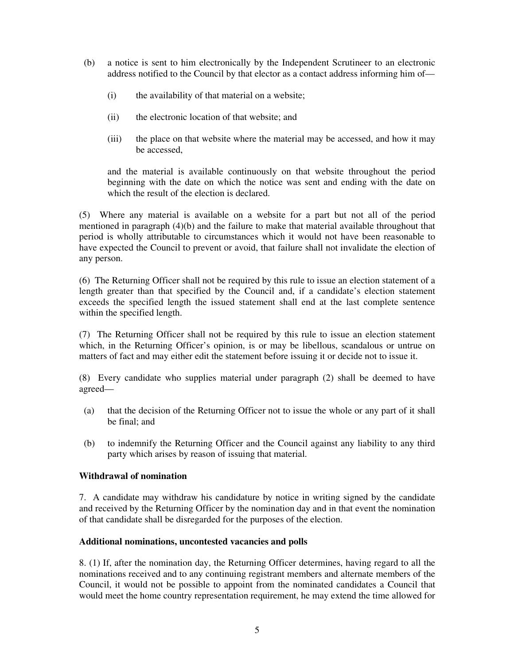- (b) a notice is sent to him electronically by the Independent Scrutineer to an electronic address notified to the Council by that elector as a contact address informing him of—
	- (i) the availability of that material on a website;
	- (ii) the electronic location of that website; and
	- (iii) the place on that website where the material may be accessed, and how it may be accessed,

and the material is available continuously on that website throughout the period beginning with the date on which the notice was sent and ending with the date on which the result of the election is declared.

(5) Where any material is available on a website for a part but not all of the period mentioned in paragraph (4)(b) and the failure to make that material available throughout that period is wholly attributable to circumstances which it would not have been reasonable to have expected the Council to prevent or avoid, that failure shall not invalidate the election of any person.

(6) The Returning Officer shall not be required by this rule to issue an election statement of a length greater than that specified by the Council and, if a candidate's election statement exceeds the specified length the issued statement shall end at the last complete sentence within the specified length.

(7) The Returning Officer shall not be required by this rule to issue an election statement which, in the Returning Officer's opinion, is or may be libellous, scandalous or untrue on matters of fact and may either edit the statement before issuing it or decide not to issue it.

(8) Every candidate who supplies material under paragraph (2) shall be deemed to have agreed—

- (a) that the decision of the Returning Officer not to issue the whole or any part of it shall be final; and
- (b) to indemnify the Returning Officer and the Council against any liability to any third party which arises by reason of issuing that material.

#### **Withdrawal of nomination**

7. A candidate may withdraw his candidature by notice in writing signed by the candidate and received by the Returning Officer by the nomination day and in that event the nomination of that candidate shall be disregarded for the purposes of the election.

#### **Additional nominations, uncontested vacancies and polls**

8. (1) If, after the nomination day, the Returning Officer determines, having regard to all the nominations received and to any continuing registrant members and alternate members of the Council, it would not be possible to appoint from the nominated candidates a Council that would meet the home country representation requirement, he may extend the time allowed for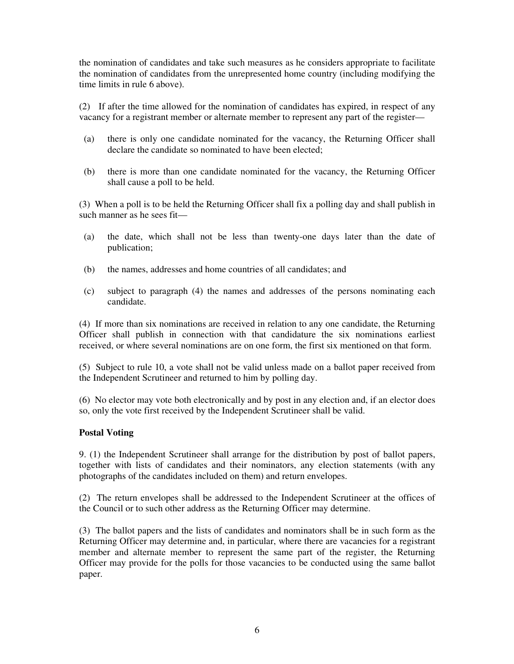the nomination of candidates and take such measures as he considers appropriate to facilitate the nomination of candidates from the unrepresented home country (including modifying the time limits in rule 6 above).

(2) If after the time allowed for the nomination of candidates has expired, in respect of any vacancy for a registrant member or alternate member to represent any part of the register—

- (a) there is only one candidate nominated for the vacancy, the Returning Officer shall declare the candidate so nominated to have been elected;
- (b) there is more than one candidate nominated for the vacancy, the Returning Officer shall cause a poll to be held.

(3) When a poll is to be held the Returning Officer shall fix a polling day and shall publish in such manner as he sees fit—

- (a) the date, which shall not be less than twenty-one days later than the date of publication;
- (b) the names, addresses and home countries of all candidates; and
- (c) subject to paragraph (4) the names and addresses of the persons nominating each candidate.

(4) If more than six nominations are received in relation to any one candidate, the Returning Officer shall publish in connection with that candidature the six nominations earliest received, or where several nominations are on one form, the first six mentioned on that form.

(5) Subject to rule 10, a vote shall not be valid unless made on a ballot paper received from the Independent Scrutineer and returned to him by polling day.

(6) No elector may vote both electronically and by post in any election and, if an elector does so, only the vote first received by the Independent Scrutineer shall be valid.

#### **Postal Voting**

9. (1) the Independent Scrutineer shall arrange for the distribution by post of ballot papers, together with lists of candidates and their nominators, any election statements (with any photographs of the candidates included on them) and return envelopes.

(2) The return envelopes shall be addressed to the Independent Scrutineer at the offices of the Council or to such other address as the Returning Officer may determine.

(3) The ballot papers and the lists of candidates and nominators shall be in such form as the Returning Officer may determine and, in particular, where there are vacancies for a registrant member and alternate member to represent the same part of the register, the Returning Officer may provide for the polls for those vacancies to be conducted using the same ballot paper.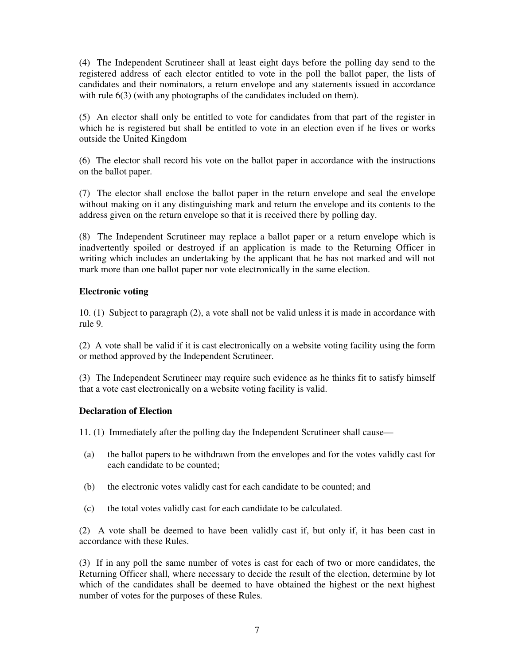(4) The Independent Scrutineer shall at least eight days before the polling day send to the registered address of each elector entitled to vote in the poll the ballot paper, the lists of candidates and their nominators, a return envelope and any statements issued in accordance with rule  $6(3)$  (with any photographs of the candidates included on them).

(5) An elector shall only be entitled to vote for candidates from that part of the register in which he is registered but shall be entitled to vote in an election even if he lives or works outside the United Kingdom

(6) The elector shall record his vote on the ballot paper in accordance with the instructions on the ballot paper.

(7) The elector shall enclose the ballot paper in the return envelope and seal the envelope without making on it any distinguishing mark and return the envelope and its contents to the address given on the return envelope so that it is received there by polling day.

(8) The Independent Scrutineer may replace a ballot paper or a return envelope which is inadvertently spoiled or destroyed if an application is made to the Returning Officer in writing which includes an undertaking by the applicant that he has not marked and will not mark more than one ballot paper nor vote electronically in the same election.

## **Electronic voting**

10. (1) Subject to paragraph (2), a vote shall not be valid unless it is made in accordance with rule 9.

(2) A vote shall be valid if it is cast electronically on a website voting facility using the form or method approved by the Independent Scrutineer.

(3) The Independent Scrutineer may require such evidence as he thinks fit to satisfy himself that a vote cast electronically on a website voting facility is valid.

#### **Declaration of Election**

11. (1) Immediately after the polling day the Independent Scrutineer shall cause—

- (a) the ballot papers to be withdrawn from the envelopes and for the votes validly cast for each candidate to be counted;
- (b) the electronic votes validly cast for each candidate to be counted; and
- (c) the total votes validly cast for each candidate to be calculated.

(2) A vote shall be deemed to have been validly cast if, but only if, it has been cast in accordance with these Rules.

(3) If in any poll the same number of votes is cast for each of two or more candidates, the Returning Officer shall, where necessary to decide the result of the election, determine by lot which of the candidates shall be deemed to have obtained the highest or the next highest number of votes for the purposes of these Rules.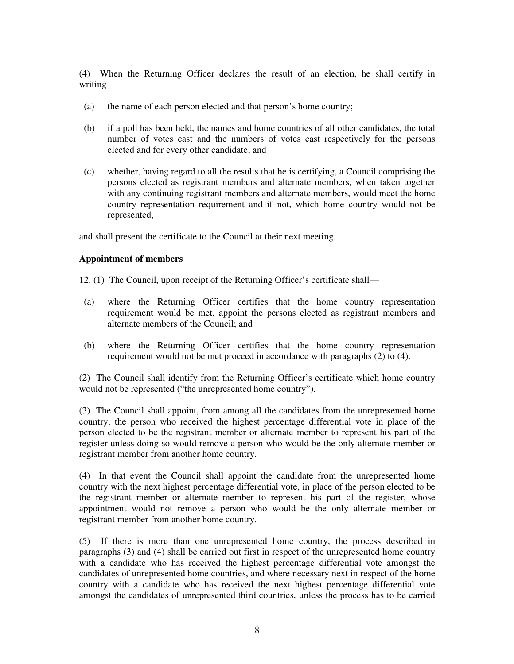(4) When the Returning Officer declares the result of an election, he shall certify in writing—

- (a) the name of each person elected and that person's home country;
- (b) if a poll has been held, the names and home countries of all other candidates, the total number of votes cast and the numbers of votes cast respectively for the persons elected and for every other candidate; and
- (c) whether, having regard to all the results that he is certifying, a Council comprising the persons elected as registrant members and alternate members, when taken together with any continuing registrant members and alternate members, would meet the home country representation requirement and if not, which home country would not be represented,

and shall present the certificate to the Council at their next meeting.

#### **Appointment of members**

- 12. (1) The Council, upon receipt of the Returning Officer's certificate shall—
- (a) where the Returning Officer certifies that the home country representation requirement would be met, appoint the persons elected as registrant members and alternate members of the Council; and
- (b) where the Returning Officer certifies that the home country representation requirement would not be met proceed in accordance with paragraphs (2) to (4).

(2) The Council shall identify from the Returning Officer's certificate which home country would not be represented ("the unrepresented home country").

(3) The Council shall appoint, from among all the candidates from the unrepresented home country, the person who received the highest percentage differential vote in place of the person elected to be the registrant member or alternate member to represent his part of the register unless doing so would remove a person who would be the only alternate member or registrant member from another home country.

(4) In that event the Council shall appoint the candidate from the unrepresented home country with the next highest percentage differential vote, in place of the person elected to be the registrant member or alternate member to represent his part of the register, whose appointment would not remove a person who would be the only alternate member or registrant member from another home country.

(5) If there is more than one unrepresented home country, the process described in paragraphs (3) and (4) shall be carried out first in respect of the unrepresented home country with a candidate who has received the highest percentage differential vote amongst the candidates of unrepresented home countries, and where necessary next in respect of the home country with a candidate who has received the next highest percentage differential vote amongst the candidates of unrepresented third countries, unless the process has to be carried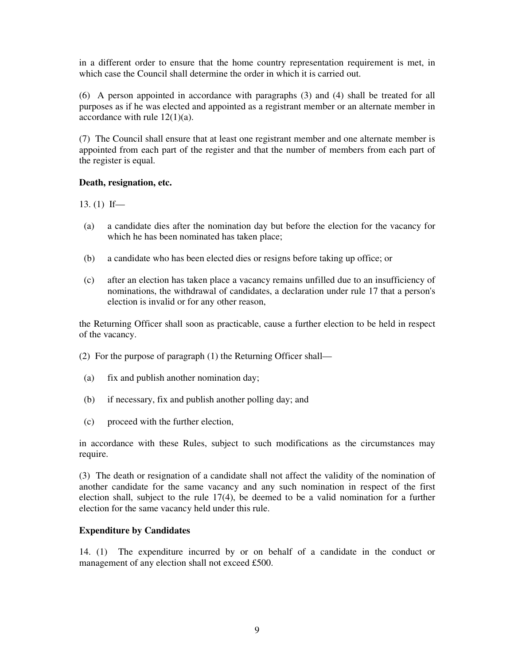in a different order to ensure that the home country representation requirement is met, in which case the Council shall determine the order in which it is carried out.

(6) A person appointed in accordance with paragraphs (3) and (4) shall be treated for all purposes as if he was elected and appointed as a registrant member or an alternate member in accordance with rule 12(1)(a).

(7) The Council shall ensure that at least one registrant member and one alternate member is appointed from each part of the register and that the number of members from each part of the register is equal.

#### **Death, resignation, etc.**

13. (1) If—

- (a) a candidate dies after the nomination day but before the election for the vacancy for which he has been nominated has taken place;
- (b) a candidate who has been elected dies or resigns before taking up office; or
- (c) after an election has taken place a vacancy remains unfilled due to an insufficiency of nominations, the withdrawal of candidates, a declaration under rule 17 that a person's election is invalid or for any other reason,

the Returning Officer shall soon as practicable, cause a further election to be held in respect of the vacancy.

(2) For the purpose of paragraph (1) the Returning Officer shall—

- (a) fix and publish another nomination day;
- (b) if necessary, fix and publish another polling day; and
- (c) proceed with the further election,

in accordance with these Rules, subject to such modifications as the circumstances may require.

(3) The death or resignation of a candidate shall not affect the validity of the nomination of another candidate for the same vacancy and any such nomination in respect of the first election shall, subject to the rule 17(4), be deemed to be a valid nomination for a further election for the same vacancy held under this rule.

#### **Expenditure by Candidates**

14. (1) The expenditure incurred by or on behalf of a candidate in the conduct or management of any election shall not exceed £500.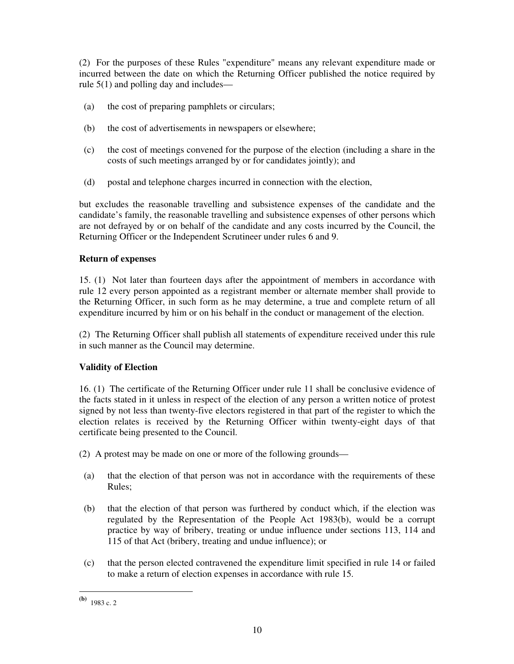(2) For the purposes of these Rules "expenditure" means any relevant expenditure made or incurred between the date on which the Returning Officer published the notice required by rule 5(1) and polling day and includes—

- (a) the cost of preparing pamphlets or circulars;
- (b) the cost of advertisements in newspapers or elsewhere;
- (c) the cost of meetings convened for the purpose of the election (including a share in the costs of such meetings arranged by or for candidates jointly); and
- (d) postal and telephone charges incurred in connection with the election,

but excludes the reasonable travelling and subsistence expenses of the candidate and the candidate's family, the reasonable travelling and subsistence expenses of other persons which are not defrayed by or on behalf of the candidate and any costs incurred by the Council, the Returning Officer or the Independent Scrutineer under rules 6 and 9.

## **Return of expenses**

15. (1) Not later than fourteen days after the appointment of members in accordance with rule 12 every person appointed as a registrant member or alternate member shall provide to the Returning Officer, in such form as he may determine, a true and complete return of all expenditure incurred by him or on his behalf in the conduct or management of the election.

(2) The Returning Officer shall publish all statements of expenditure received under this rule in such manner as the Council may determine.

## **Validity of Election**

16. (1) The certificate of the Returning Officer under rule 11 shall be conclusive evidence of the facts stated in it unless in respect of the election of any person a written notice of protest signed by not less than twenty-five electors registered in that part of the register to which the election relates is received by the Returning Officer within twenty-eight days of that certificate being presented to the Council.

(2) A protest may be made on one or more of the following grounds—

- (a) that the election of that person was not in accordance with the requirements of these Rules;
- (b) that the election of that person was furthered by conduct which, if the election was regulated by the Representation of the People Act 1983(b), would be a corrupt practice by way of bribery, treating or undue influence under sections 113, 114 and 115 of that Act (bribery, treating and undue influence); or
- (c) that the person elected contravened the expenditure limit specified in rule 14 or failed to make a return of election expenses in accordance with rule 15.

 $\overline{a}$ 

**<sup>(</sup>b)** 1983 c. 2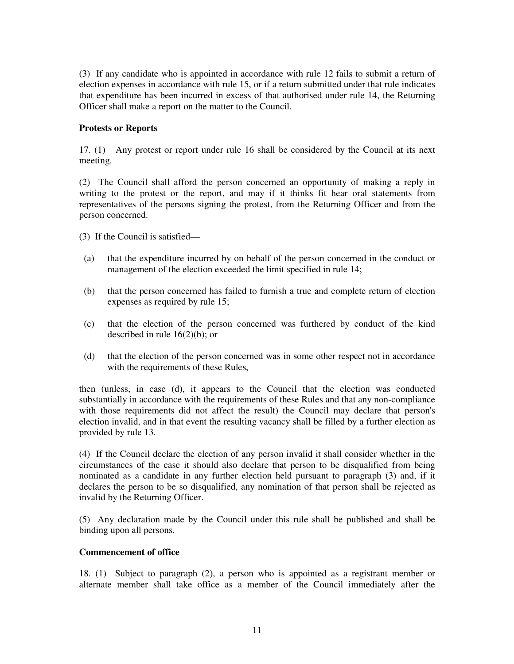(3) If any candidate who is appointed in accordance with rule 12 fails to submit a return of election expenses in accordance with rule 15, or if a return submitted under that rule indicates that expenditure has been incurred in excess of that authorised under rule 14, the Returning Officer shall make a report on the matter to the Council.

## **Protests or Reports**

17. (1) Any protest or report under rule 16 shall be considered by the Council at its next meeting.

(2) The Council shall afford the person concerned an opportunity of making a reply in writing to the protest or the report, and may if it thinks fit hear oral statements from representatives of the persons signing the protest, from the Returning Officer and from the person concerned.

(3) If the Council is satisfied—

- (a) that the expenditure incurred by on behalf of the person concerned in the conduct or management of the election exceeded the limit specified in rule 14;
- (b) that the person concerned has failed to furnish a true and complete return of election expenses as required by rule 15;
- (c) that the election of the person concerned was furthered by conduct of the kind described in rule 16(2)(b); or
- (d) that the election of the person concerned was in some other respect not in accordance with the requirements of these Rules,

then (unless, in case (d), it appears to the Council that the election was conducted substantially in accordance with the requirements of these Rules and that any non-compliance with those requirements did not affect the result) the Council may declare that person's election invalid, and in that event the resulting vacancy shall be filled by a further election as provided by rule 13.

(4) If the Council declare the election of any person invalid it shall consider whether in the circumstances of the case it should also declare that person to be disqualified from being nominated as a candidate in any further election held pursuant to paragraph (3) and, if it declares the person to be so disqualified, any nomination of that person shall be rejected as invalid by the Returning Officer.

(5) Any declaration made by the Council under this rule shall be published and shall be binding upon all persons.

#### **Commencement of office**

18. (1) Subject to paragraph (2), a person who is appointed as a registrant member or alternate member shall take office as a member of the Council immediately after the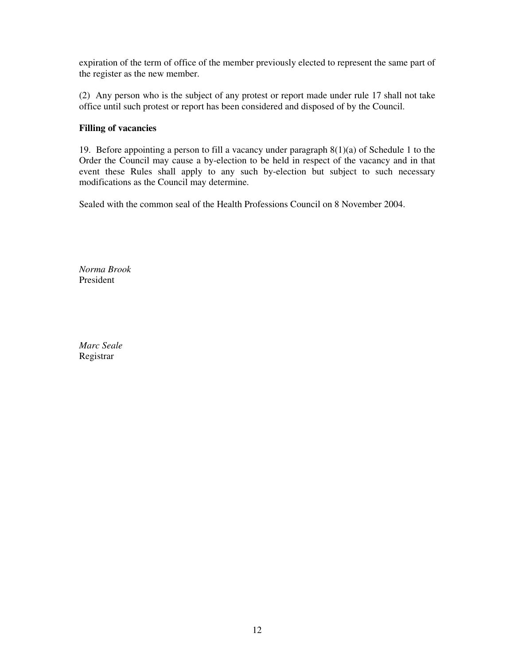expiration of the term of office of the member previously elected to represent the same part of the register as the new member.

(2) Any person who is the subject of any protest or report made under rule 17 shall not take office until such protest or report has been considered and disposed of by the Council.

#### **Filling of vacancies**

19. Before appointing a person to fill a vacancy under paragraph 8(1)(a) of Schedule 1 to the Order the Council may cause a by-election to be held in respect of the vacancy and in that event these Rules shall apply to any such by-election but subject to such necessary modifications as the Council may determine.

Sealed with the common seal of the Health Professions Council on 8 November 2004.

*Norma Brook*  President

*Marc Seale*  Registrar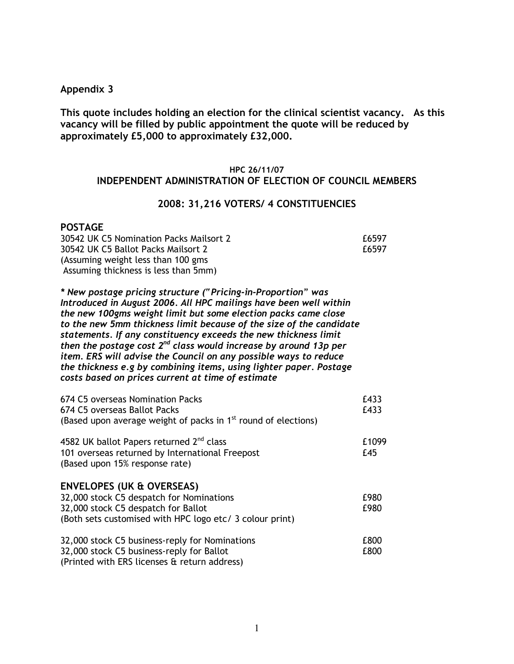## Appendix 3

This quote includes holding an election for the clinical scientist vacancy. As this vacancy will be filled by public appointment the quote will be reduced by approximately £5,000 to approximately £32,000.

#### HPC 26/11/07

# INDEPENDENT ADMINISTRATION OF ELECTION OF COUNCIL MEMBERS

#### 2008: 31,216 VOTERS/ 4 CONSTITUENCIES

## POSTAGE

| 30542 UK C5 Nomination Packs Mailsort 2 | £6597 |
|-----------------------------------------|-------|
| 30542 UK C5 Ballot Packs Mailsort 2     | f6597 |
| (Assuming weight less than 100 gms)     |       |
| Assuming thickness is less than 5mm)    |       |

\* New postage pricing structure ("Pricing-in-Proportion" was Introduced in August 2006. All HPC mailings have been well within the new 100gms weight limit but some election packs came close to the new 5mm thickness limit because of the size of the candidate statements. If any constituency exceeds the new thickness limit then the postage cost  $2^{nd}$  class would increase by around 13p per item. ERS will advise the Council on any possible ways to reduce the thickness e.g by combining items, using lighter paper. Postage costs based on prices current at time of estimate

| 674 C5 overseas Nomination Packs                                           | £433  |
|----------------------------------------------------------------------------|-------|
| 674 C5 overseas Ballot Packs                                               | £433  |
| (Based upon average weight of packs in 1 <sup>st</sup> round of elections) |       |
| 4582 UK ballot Papers returned 2 <sup>nd</sup> class                       | £1099 |
| 101 overseas returned by International Freepost                            | £45   |
| (Based upon 15% response rate)                                             |       |
| <b>ENVELOPES (UK &amp; OVERSEAS)</b>                                       |       |
| 32,000 stock C5 despatch for Nominations                                   | £980  |
| 32,000 stock C5 despatch for Ballot                                        | £980  |
| (Both sets customised with HPC logo etc/ 3 colour print)                   |       |
| 32,000 stock C5 business-reply for Nominations                             | £800  |
| 32,000 stock C5 business-reply for Ballot                                  | £800  |
| (Printed with ERS licenses & return address)                               |       |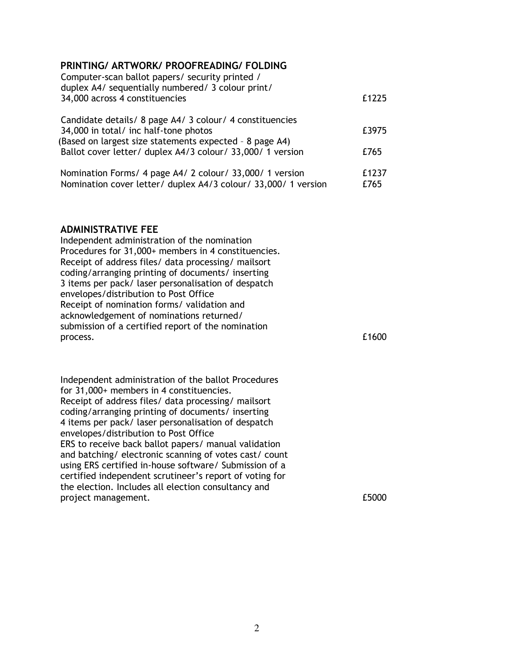# PRINTING/ ARTWORK/ PROOFREADING/ FOLDING

| Computer-scan ballot papers/ security printed /<br>duplex A4/ sequentially numbered/ 3 colour print/ |       |
|------------------------------------------------------------------------------------------------------|-------|
| 34,000 across 4 constituencies                                                                       | £1225 |
| Candidate details/ 8 page A4/ 3 colour/ 4 constituencies                                             |       |
| 34,000 in total/ inc half-tone photos                                                                | £3975 |
| (Based on largest size statements expected - 8 page A4)                                              |       |
| Ballot cover letter/ duplex A4/3 colour/ 33,000/ 1 version                                           | £765  |
| Nomination Forms/ 4 page A4/ 2 colour/ 33,000/ 1 version                                             | £1237 |
| Nomination cover letter/ duplex A4/3 colour/ 33,000/ 1 version                                       | £765  |

## ADMINISTRATIVE FEE

Independent administration of the nomination Procedures for 31,000+ members in 4 constituencies. Receipt of address files/ data processing/ mailsort coding/arranging printing of documents/ inserting 3 items per pack/ laser personalisation of despatch envelopes/distribution to Post Office Receipt of nomination forms/ validation and acknowledgement of nominations returned/ submission of a certified report of the nomination process. E1600

Independent administration of the ballot Procedures for 31,000+ members in 4 constituencies. Receipt of address files/ data processing/ mailsort coding/arranging printing of documents/ inserting 4 items per pack/ laser personalisation of despatch envelopes/distribution to Post Office ERS to receive back ballot papers/ manual validation and batching/ electronic scanning of votes cast/ count using ERS certified in-house software/ Submission of a certified independent scrutineer's report of voting for the election. Includes all election consultancy and project management. £5000